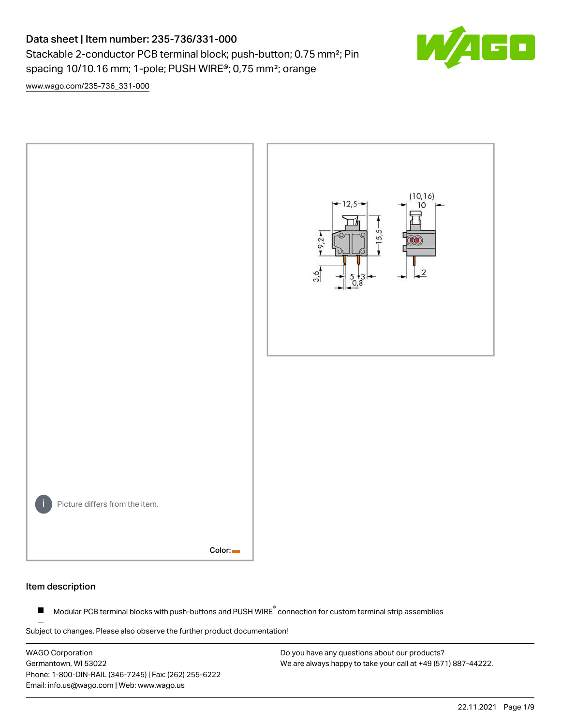# Data sheet | Item number: 235-736/331-000

Stackable 2-conductor PCB terminal block; push-button; 0.75 mm<sup>2</sup>; Pin spacing 10/10.16 mm; 1-pole; PUSH WIRE®; 0,75 mm²; orange



[www.wago.com/235-736\\_331-000](http://www.wago.com/235-736_331-000)



#### Item description

Modular PCB terminal blocks with push-buttons and PUSH WIRE<sup>®</sup> connection for custom terminal strip assemblies  $\blacksquare$ 

Subject to changes. Please also observe the further product documentation!

WAGO Corporation Germantown, WI 53022 Phone: 1-800-DIN-RAIL (346-7245) | Fax: (262) 255-6222 Email: info.us@wago.com | Web: www.wago.us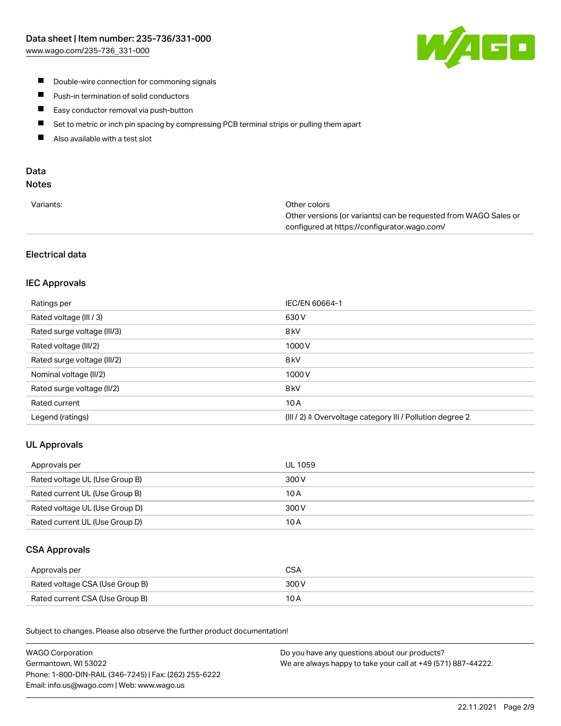

- **Double-wire connection for commoning signals**
- $\blacksquare$ Push-in termination of solid conductors
- Easy conductor removal via push-button  $\blacksquare$
- $\blacksquare$ Set to metric or inch pin spacing by compressing PCB terminal strips or pulling them apart
- $\blacksquare$ Also available with a test slot

# Data

## Notes

| Variants: | Other colors                                                     |
|-----------|------------------------------------------------------------------|
|           | Other versions (or variants) can be requested from WAGO Sales or |
|           | configured at https://configurator.wago.com/                     |

## Electrical data

## IEC Approvals

| Ratings per                 | IEC/EN 60664-1                                                       |
|-----------------------------|----------------------------------------------------------------------|
| Rated voltage (III / 3)     | 630 V                                                                |
| Rated surge voltage (III/3) | 8 <sub>kV</sub>                                                      |
| Rated voltage (III/2)       | 1000V                                                                |
| Rated surge voltage (III/2) | 8 <sub>kV</sub>                                                      |
| Nominal voltage (II/2)      | 1000V                                                                |
| Rated surge voltage (II/2)  | 8 <sub>kV</sub>                                                      |
| Rated current               | 10A                                                                  |
| Legend (ratings)            | (III / 2) $\triangleq$ Overvoltage category III / Pollution degree 2 |

## UL Approvals

| Approvals per                  | UL 1059 |
|--------------------------------|---------|
| Rated voltage UL (Use Group B) | 300 V   |
| Rated current UL (Use Group B) | 10 A    |
| Rated voltage UL (Use Group D) | 300 V   |
| Rated current UL (Use Group D) | 10 A    |

## CSA Approvals

| Approvals per                   | CSA   |
|---------------------------------|-------|
| Rated voltage CSA (Use Group B) | 300 V |
| Rated current CSA (Use Group B) | 10 A  |

.<br>Subject to changes. Please also observe the further product documentation!

| <b>WAGO Corporation</b>                                | Do you have any questions about our products?                 |
|--------------------------------------------------------|---------------------------------------------------------------|
| Germantown, WI 53022                                   | We are always happy to take your call at +49 (571) 887-44222. |
| Phone: 1-800-DIN-RAIL (346-7245)   Fax: (262) 255-6222 |                                                               |
| Email: info.us@wago.com   Web: www.wago.us             |                                                               |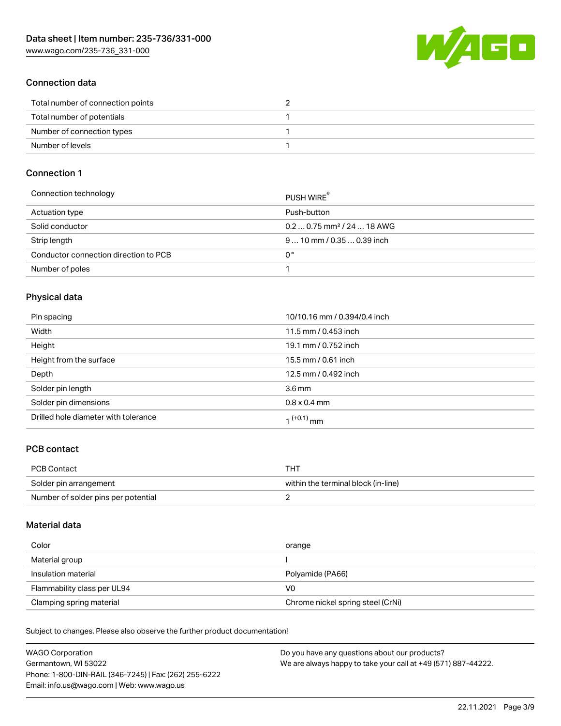W/4GO

## Connection data

| Total number of connection points |  |
|-----------------------------------|--|
| Total number of potentials        |  |
| Number of connection types        |  |
| Number of levels                  |  |

#### Connection 1

| Connection technology                 | <b>PUSH WIRE</b>                       |
|---------------------------------------|----------------------------------------|
| Actuation type                        | Push-button                            |
| Solid conductor                       | $0.20.75$ mm <sup>2</sup> / 24  18 AWG |
| Strip length                          | $910$ mm / 0.35  0.39 inch             |
| Conductor connection direction to PCB | 0°                                     |
| Number of poles                       |                                        |

## Physical data

| Pin spacing                          | 10/10.16 mm / 0.394/0.4 inch |
|--------------------------------------|------------------------------|
| Width                                | 11.5 mm / 0.453 inch         |
| Height                               | 19.1 mm / 0.752 inch         |
| Height from the surface              | 15.5 mm / 0.61 inch          |
| Depth                                | 12.5 mm / 0.492 inch         |
| Solder pin length                    | $3.6 \,\mathrm{mm}$          |
| Solder pin dimensions                | $0.8 \times 0.4$ mm          |
| Drilled hole diameter with tolerance | 1 <sup>(+0.1)</sup> mm       |

## PCB contact

| <b>PCB Contact</b>                  | THT                                 |
|-------------------------------------|-------------------------------------|
| Solder pin arrangement              | within the terminal block (in-line) |
| Number of solder pins per potential |                                     |

#### Material data

| Color                       | orange                            |
|-----------------------------|-----------------------------------|
| Material group              |                                   |
| Insulation material         | Polyamide (PA66)                  |
| Flammability class per UL94 | V0                                |
| Clamping spring material    | Chrome nickel spring steel (CrNi) |

Subject to changes. Please also observe the further product documentation!

| <b>WAGO Corporation</b>                                | Do you have any questions about our products?                 |
|--------------------------------------------------------|---------------------------------------------------------------|
| Germantown, WI 53022                                   | We are always happy to take your call at +49 (571) 887-44222. |
| Phone: 1-800-DIN-RAIL (346-7245)   Fax: (262) 255-6222 |                                                               |
| Email: info.us@wago.com   Web: www.wago.us             |                                                               |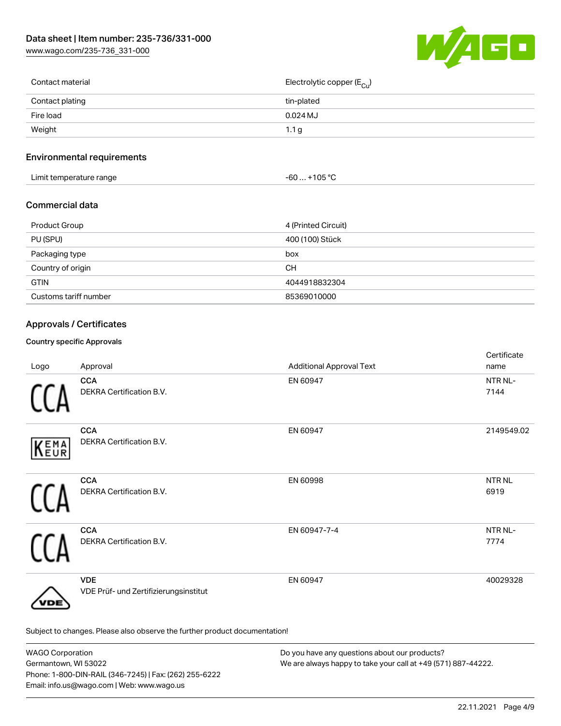[www.wago.com/235-736\\_331-000](http://www.wago.com/235-736_331-000)



| Contact material | Electrolytic copper (E <sub>Cu</sub> ) |
|------------------|----------------------------------------|
| Contact plating  | tin-plated                             |
| Fire load        | $0.024$ MJ                             |
| Weight           | 1.1 <sub>g</sub>                       |
|                  |                                        |

## Environmental requirements

| .<br>t temperature range<br>_imit <sup>.</sup><br>. . | ∙105 °C<br>-60 |  |
|-------------------------------------------------------|----------------|--|
|-------------------------------------------------------|----------------|--|

## Commercial data

| Product Group         | 4 (Printed Circuit) |
|-----------------------|---------------------|
| PU (SPU)              | 400 (100) Stück     |
| Packaging type        | box                 |
| Country of origin     | <b>CH</b>           |
| <b>GTIN</b>           | 4044918832304       |
| Customs tariff number | 85369010000         |

## Approvals / Certificates

#### Country specific Approvals

| Logo | Approval                                                                   | <b>Additional Approval Text</b> | Certificate<br>name  |
|------|----------------------------------------------------------------------------|---------------------------------|----------------------|
|      | <b>CCA</b><br>DEKRA Certification B.V.                                     | EN 60947                        | NTR NL-<br>7144      |
| KEMA | <b>CCA</b><br>DEKRA Certification B.V.                                     | EN 60947                        | 2149549.02           |
|      | <b>CCA</b><br>DEKRA Certification B.V.                                     | EN 60998                        | <b>NTRNL</b><br>6919 |
|      | <b>CCA</b><br>DEKRA Certification B.V.                                     | EN 60947-7-4                    | NTR NL-<br>7774      |
| /DE  | <b>VDE</b><br>VDE Prüf- und Zertifizierungsinstitut                        | EN 60947                        | 40029328             |
|      | Subject to changes. Please also observe the further product documentation! |                                 |                      |

WAGO Corporation Germantown, WI 53022 Phone: 1-800-DIN-RAIL (346-7245) | Fax: (262) 255-6222 Email: info.us@wago.com | Web: www.wago.us Do you have any questions about our products? We are always happy to take your call at +49 (571) 887-44222.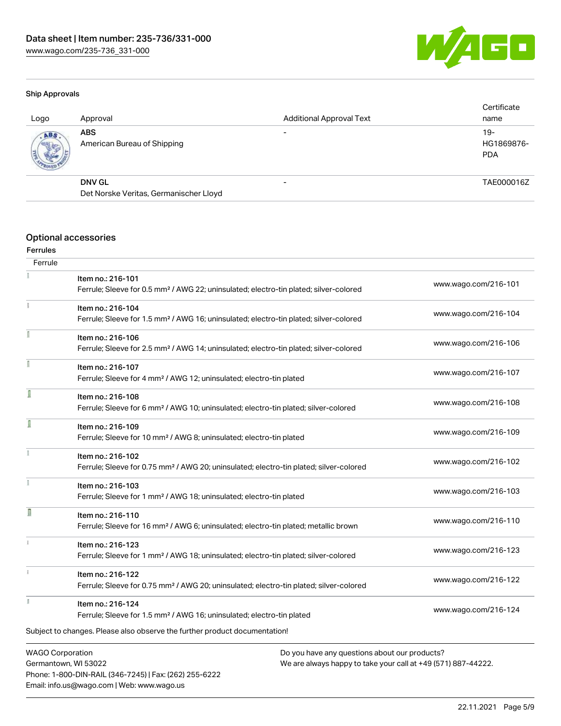Phone: 1-800-DIN-RAIL (346-7245) | Fax: (262) 255-6222

Email: info.us@wago.com | Web: www.wago.us



#### Ship Approvals

| Logo | Approval                                  | <b>Additional Approval Text</b> | Certificate<br>name                |
|------|-------------------------------------------|---------------------------------|------------------------------------|
| ABS. | <b>ABS</b><br>American Bureau of Shipping | $\overline{\phantom{0}}$        | $19 -$<br>HG1869876-<br><b>PDA</b> |
|      | <b>DNV GL</b>                             | -                               | TAE000016Z                         |
|      | Det Norske Veritas, Germanischer Lloyd    |                                 |                                    |

## Optional accessories

#### Ferrules

| Ferrule                 |                                                                                                    |                                                               |
|-------------------------|----------------------------------------------------------------------------------------------------|---------------------------------------------------------------|
|                         | Item no.: 216-101                                                                                  | www.wago.com/216-101                                          |
|                         | Ferrule; Sleeve for 0.5 mm <sup>2</sup> / AWG 22; uninsulated; electro-tin plated; silver-colored  |                                                               |
|                         | Item no.: 216-104                                                                                  | www.wago.com/216-104                                          |
|                         | Ferrule; Sleeve for 1.5 mm <sup>2</sup> / AWG 16; uninsulated; electro-tin plated; silver-colored  |                                                               |
|                         | Item no.: 216-106                                                                                  |                                                               |
|                         | Ferrule; Sleeve for 2.5 mm <sup>2</sup> / AWG 14; uninsulated; electro-tin plated; silver-colored  | www.wago.com/216-106                                          |
|                         | Item no.: 216-107                                                                                  |                                                               |
|                         | Ferrule; Sleeve for 4 mm <sup>2</sup> / AWG 12; uninsulated; electro-tin plated                    | www.wago.com/216-107                                          |
|                         | Item no.: 216-108                                                                                  |                                                               |
|                         | Ferrule; Sleeve for 6 mm <sup>2</sup> / AWG 10; uninsulated; electro-tin plated; silver-colored    | www.wago.com/216-108                                          |
| I                       | Item no.: 216-109                                                                                  |                                                               |
|                         | Ferrule; Sleeve for 10 mm <sup>2</sup> / AWG 8; uninsulated; electro-tin plated                    | www.wago.com/216-109                                          |
|                         | Item no.: 216-102                                                                                  |                                                               |
|                         | Ferrule; Sleeve for 0.75 mm <sup>2</sup> / AWG 20; uninsulated; electro-tin plated; silver-colored | www.wago.com/216-102                                          |
|                         | Item no.: 216-103                                                                                  |                                                               |
|                         | Ferrule; Sleeve for 1 mm <sup>2</sup> / AWG 18; uninsulated; electro-tin plated                    | www.wago.com/216-103                                          |
| n                       | Item no.: 216-110                                                                                  |                                                               |
|                         | Ferrule; Sleeve for 16 mm <sup>2</sup> / AWG 6; uninsulated; electro-tin plated; metallic brown    | www.wago.com/216-110                                          |
| ī.                      | Item no.: 216-123                                                                                  |                                                               |
|                         | Ferrule; Sleeve for 1 mm <sup>2</sup> / AWG 18; uninsulated; electro-tin plated; silver-colored    | www.wago.com/216-123                                          |
|                         | Item no.: 216-122                                                                                  |                                                               |
|                         | Ferrule; Sleeve for 0.75 mm <sup>2</sup> / AWG 20; uninsulated; electro-tin plated; silver-colored | www.wago.com/216-122                                          |
|                         | Item no.: 216-124                                                                                  |                                                               |
|                         | Ferrule; Sleeve for 1.5 mm <sup>2</sup> / AWG 16; uninsulated; electro-tin plated                  | www.wago.com/216-124                                          |
|                         | Subject to changes. Please also observe the further product documentation!                         |                                                               |
| <b>WAGO Corporation</b> |                                                                                                    | Do you have any questions about our products?                 |
|                         | Germantown, WI 53022                                                                               | We are always happy to take your call at +49 (571) 887-44222. |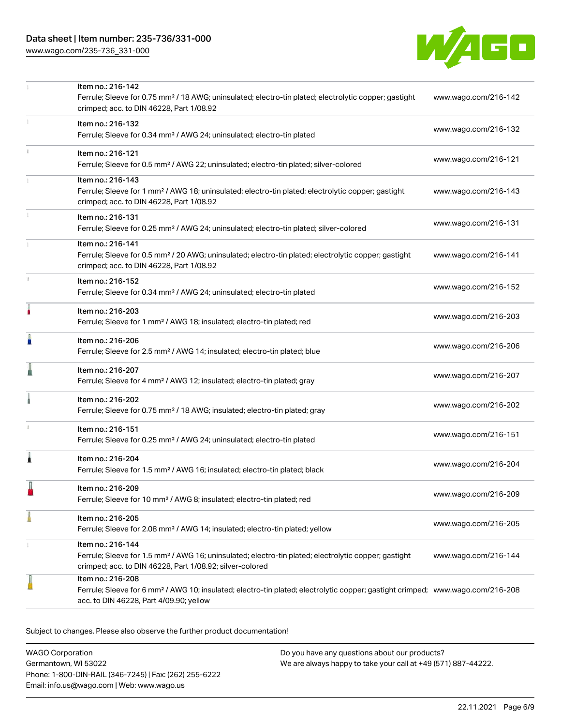# Data sheet | Item number: 235-736/331-000

[www.wago.com/235-736\\_331-000](http://www.wago.com/235-736_331-000)



|    | Item no.: 216-142                                                                                                                                                                                          |                      |
|----|------------------------------------------------------------------------------------------------------------------------------------------------------------------------------------------------------------|----------------------|
|    | Ferrule; Sleeve for 0.75 mm <sup>2</sup> / 18 AWG; uninsulated; electro-tin plated; electrolytic copper; gastight<br>crimped; acc. to DIN 46228, Part 1/08.92                                              | www.wago.com/216-142 |
| 1  | Item no.: 216-132<br>Ferrule; Sleeve for 0.34 mm <sup>2</sup> / AWG 24; uninsulated; electro-tin plated                                                                                                    | www.wago.com/216-132 |
|    | Item no.: 216-121                                                                                                                                                                                          |                      |
|    | Ferrule; Sleeve for 0.5 mm <sup>2</sup> / AWG 22; uninsulated; electro-tin plated; silver-colored                                                                                                          | www.wago.com/216-121 |
|    | Item no.: 216-143<br>Ferrule; Sleeve for 1 mm <sup>2</sup> / AWG 18; uninsulated; electro-tin plated; electrolytic copper; gastight<br>crimped; acc. to DIN 46228, Part 1/08.92                            | www.wago.com/216-143 |
| 1  | Item no.: 216-131<br>Ferrule; Sleeve for 0.25 mm <sup>2</sup> / AWG 24; uninsulated; electro-tin plated; silver-colored                                                                                    | www.wago.com/216-131 |
|    | Item no.: 216-141<br>Ferrule; Sleeve for 0.5 mm <sup>2</sup> / 20 AWG; uninsulated; electro-tin plated; electrolytic copper; gastight<br>crimped; acc. to DIN 46228, Part 1/08.92                          | www.wago.com/216-141 |
| t. | Item no.: 216-152<br>Ferrule; Sleeve for 0.34 mm <sup>2</sup> / AWG 24; uninsulated; electro-tin plated                                                                                                    | www.wago.com/216-152 |
| ۸  | Item no.: 216-203<br>Ferrule; Sleeve for 1 mm <sup>2</sup> / AWG 18; insulated; electro-tin plated; red                                                                                                    | www.wago.com/216-203 |
|    | Item no.: 216-206<br>Ferrule; Sleeve for 2.5 mm <sup>2</sup> / AWG 14; insulated; electro-tin plated; blue                                                                                                 | www.wago.com/216-206 |
|    | Item no.: 216-207<br>Ferrule; Sleeve for 4 mm <sup>2</sup> / AWG 12; insulated; electro-tin plated; gray                                                                                                   | www.wago.com/216-207 |
|    | Item no.: 216-202<br>Ferrule; Sleeve for 0.75 mm <sup>2</sup> / 18 AWG; insulated; electro-tin plated; gray                                                                                                | www.wago.com/216-202 |
|    | Item no.: 216-151<br>Ferrule; Sleeve for 0.25 mm <sup>2</sup> / AWG 24; uninsulated; electro-tin plated                                                                                                    | www.wago.com/216-151 |
| 1  | Item no.: 216-204<br>Ferrule; Sleeve for 1.5 mm <sup>2</sup> / AWG 16; insulated; electro-tin plated; black                                                                                                | www.wago.com/216-204 |
|    | Item no.: 216-209<br>Ferrule; Sleeve for 10 mm <sup>2</sup> / AWG 8; insulated; electro-tin plated; red                                                                                                    | www.wago.com/216-209 |
| A  | Item no.: 216-205<br>Ferrule; Sleeve for 2.08 mm <sup>2</sup> / AWG 14; insulated; electro-tin plated; yellow                                                                                              | www.wago.com/216-205 |
| 1  | Item no.: 216-144<br>Ferrule; Sleeve for 1.5 mm <sup>2</sup> / AWG 16; uninsulated; electro-tin plated; electrolytic copper; gastight<br>crimped; acc. to DIN 46228, Part 1/08.92; silver-colored          | www.wago.com/216-144 |
|    | Item no.: 216-208<br>Ferrule; Sleeve for 6 mm <sup>2</sup> / AWG 10; insulated; electro-tin plated; electrolytic copper; gastight crimped; www.wago.com/216-208<br>acc. to DIN 46228, Part 4/09.90; yellow |                      |
|    |                                                                                                                                                                                                            |                      |

Subject to changes. Please also observe the further product documentation!

WAGO Corporation Germantown, WI 53022 Phone: 1-800-DIN-RAIL (346-7245) | Fax: (262) 255-6222 Email: info.us@wago.com | Web: www.wago.us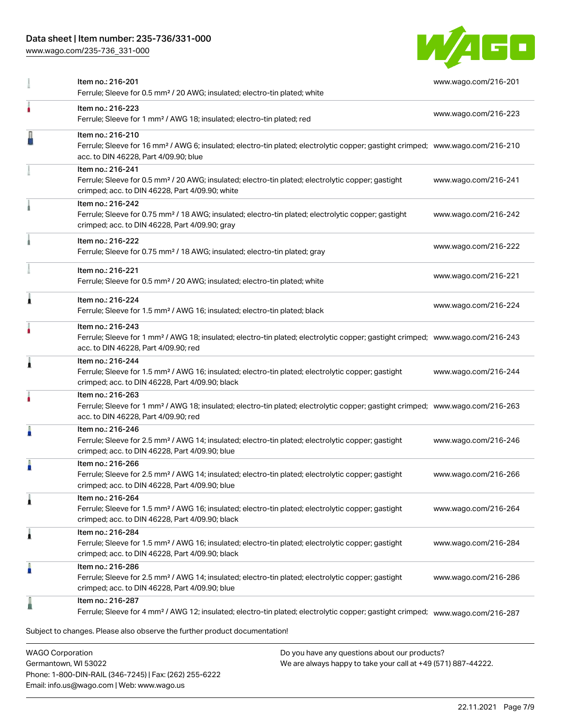## Data sheet | Item number: 235-736/331-000

[www.wago.com/235-736\\_331-000](http://www.wago.com/235-736_331-000)



|   | Item no.: 216-201<br>Ferrule; Sleeve for 0.5 mm <sup>2</sup> / 20 AWG; insulated; electro-tin plated; white                                                                                              | www.wago.com/216-201 |
|---|----------------------------------------------------------------------------------------------------------------------------------------------------------------------------------------------------------|----------------------|
|   | Item no.: 216-223<br>Ferrule; Sleeve for 1 mm <sup>2</sup> / AWG 18; insulated; electro-tin plated; red                                                                                                  | www.wago.com/216-223 |
|   | Item no.: 216-210<br>Ferrule; Sleeve for 16 mm <sup>2</sup> / AWG 6; insulated; electro-tin plated; electrolytic copper; gastight crimped; www.wago.com/216-210<br>acc. to DIN 46228, Part 4/09.90; blue |                      |
|   | Item no.: 216-241<br>Ferrule; Sleeve for 0.5 mm <sup>2</sup> / 20 AWG; insulated; electro-tin plated; electrolytic copper; gastight<br>crimped; acc. to DIN 46228, Part 4/09.90; white                   | www.wago.com/216-241 |
|   | Item no.: 216-242<br>Ferrule; Sleeve for 0.75 mm <sup>2</sup> / 18 AWG; insulated; electro-tin plated; electrolytic copper; gastight<br>crimped; acc. to DIN 46228, Part 4/09.90; gray                   | www.wago.com/216-242 |
|   | Item no.: 216-222<br>Ferrule; Sleeve for 0.75 mm <sup>2</sup> / 18 AWG; insulated; electro-tin plated; gray                                                                                              | www.wago.com/216-222 |
|   | Item no.: 216-221<br>Ferrule; Sleeve for 0.5 mm <sup>2</sup> / 20 AWG; insulated; electro-tin plated; white                                                                                              | www.wago.com/216-221 |
| Â | Item no.: 216-224<br>Ferrule; Sleeve for 1.5 mm <sup>2</sup> / AWG 16; insulated; electro-tin plated; black                                                                                              | www.wago.com/216-224 |
| ٠ | Item no.: 216-243<br>Ferrule; Sleeve for 1 mm <sup>2</sup> / AWG 18; insulated; electro-tin plated; electrolytic copper; gastight crimped; www.wago.com/216-243<br>acc. to DIN 46228, Part 4/09.90; red  |                      |
| 1 | Item no.: 216-244<br>Ferrule; Sleeve for 1.5 mm <sup>2</sup> / AWG 16; insulated; electro-tin plated; electrolytic copper; gastight<br>crimped; acc. to DIN 46228, Part 4/09.90; black                   | www.wago.com/216-244 |
|   | Item no.: 216-263<br>Ferrule; Sleeve for 1 mm <sup>2</sup> / AWG 18; insulated; electro-tin plated; electrolytic copper; gastight crimped; www.wago.com/216-263<br>acc. to DIN 46228, Part 4/09.90; red  |                      |
| Å | Item no.: 216-246<br>Ferrule; Sleeve for 2.5 mm <sup>2</sup> / AWG 14; insulated; electro-tin plated; electrolytic copper; gastight<br>crimped; acc. to DIN 46228, Part 4/09.90; blue                    | www.wago.com/216-246 |
| A | Item no.: 216-266<br>Ferrule; Sleeve for 2.5 mm <sup>2</sup> / AWG 14; insulated; electro-tin plated; electrolytic copper; gastight<br>crimped; acc. to DIN 46228, Part 4/09.90; blue                    | www.wago.com/216-266 |
| 1 | Item no.: 216-264<br>Ferrule; Sleeve for 1.5 mm <sup>2</sup> / AWG 16; insulated; electro-tin plated; electrolytic copper; gastight<br>crimped; acc. to DIN 46228, Part 4/09.90; black                   | www.wago.com/216-264 |
| 1 | Item no.: 216-284<br>Ferrule; Sleeve for 1.5 mm <sup>2</sup> / AWG 16; insulated; electro-tin plated; electrolytic copper; gastight<br>crimped; acc. to DIN 46228, Part 4/09.90; black                   | www.wago.com/216-284 |
| I | Item no.: 216-286<br>Ferrule; Sleeve for 2.5 mm <sup>2</sup> / AWG 14; insulated; electro-tin plated; electrolytic copper; gastight<br>crimped; acc. to DIN 46228, Part 4/09.90; blue                    | www.wago.com/216-286 |
|   | Item no.: 216-287<br>Ferrule; Sleeve for 4 mm <sup>2</sup> / AWG 12; insulated; electro-tin plated; electrolytic copper; gastight crimped; www.wago.com/216-287                                          |                      |
|   | Subject to changes. Please also observe the further product documentation!                                                                                                                               |                      |

WAGO Corporation Germantown, WI 53022 Phone: 1-800-DIN-RAIL (346-7245) | Fax: (262) 255-6222 Email: info.us@wago.com | Web: www.wago.us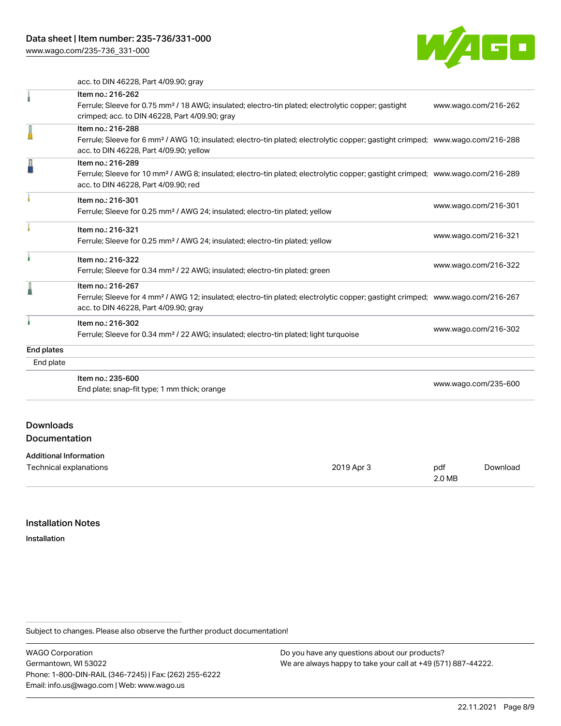[www.wago.com/235-736\\_331-000](http://www.wago.com/235-736_331-000)



acc. to DIN 46228, Part 4/09.90; gray

|                                          | Item no.: 216-262<br>Ferrule; Sleeve for 0.75 mm <sup>2</sup> / 18 AWG; insulated; electro-tin plated; electrolytic copper; gastight<br>crimped; acc. to DIN 46228, Part 4/09.90; gray                     |               |                      | www.wago.com/216-262 |
|------------------------------------------|------------------------------------------------------------------------------------------------------------------------------------------------------------------------------------------------------------|---------------|----------------------|----------------------|
|                                          | Item no.: 216-288<br>Ferrule; Sleeve for 6 mm <sup>2</sup> / AWG 10; insulated; electro-tin plated; electrolytic copper; gastight crimped; www.wago.com/216-288<br>acc. to DIN 46228, Part 4/09.90; yellow |               |                      |                      |
|                                          | Item no.: 216-289<br>Ferrule; Sleeve for 10 mm <sup>2</sup> / AWG 8; insulated; electro-tin plated; electrolytic copper; gastight crimped; www.wago.com/216-289<br>acc. to DIN 46228, Part 4/09.90; red    |               |                      |                      |
|                                          | Item no.: 216-301<br>Ferrule; Sleeve for 0.25 mm <sup>2</sup> / AWG 24; insulated; electro-tin plated; yellow                                                                                              |               |                      | www.wago.com/216-301 |
|                                          | Item no.: 216-321<br>Ferrule; Sleeve for 0.25 mm <sup>2</sup> / AWG 24; insulated; electro-tin plated; yellow                                                                                              |               |                      | www.wago.com/216-321 |
|                                          | Item no.: 216-322<br>Ferrule; Sleeve for 0.34 mm <sup>2</sup> / 22 AWG; insulated; electro-tin plated; green                                                                                               |               |                      | www.wago.com/216-322 |
|                                          | Item no.: 216-267<br>Ferrule; Sleeve for 4 mm <sup>2</sup> / AWG 12; insulated; electro-tin plated; electrolytic copper; gastight crimped; www.wago.com/216-267<br>acc. to DIN 46228, Part 4/09.90; gray   |               |                      |                      |
|                                          | Item no.: 216-302<br>Ferrule; Sleeve for 0.34 mm <sup>2</sup> / 22 AWG; insulated; electro-tin plated; light turquoise                                                                                     |               | www.wago.com/216-302 |                      |
| End plates                               |                                                                                                                                                                                                            |               |                      |                      |
| End plate                                |                                                                                                                                                                                                            |               |                      |                      |
|                                          | Item no.: 235-600<br>End plate; snap-fit type; 1 mm thick; orange                                                                                                                                          |               | www.wago.com/235-600 |                      |
| <b>Downloads</b><br><b>Documentation</b> |                                                                                                                                                                                                            |               |                      |                      |
| <b>Additional Information</b>            |                                                                                                                                                                                                            |               |                      |                      |
| Technical explanations                   | 2019 Apr 3                                                                                                                                                                                                 | pdf<br>2.0 MB |                      | Download             |

#### Installation Notes

Installation

Subject to changes. Please also observe the further product documentation!

WAGO Corporation Germantown, WI 53022 Phone: 1-800-DIN-RAIL (346-7245) | Fax: (262) 255-6222 Email: info.us@wago.com | Web: www.wago.us